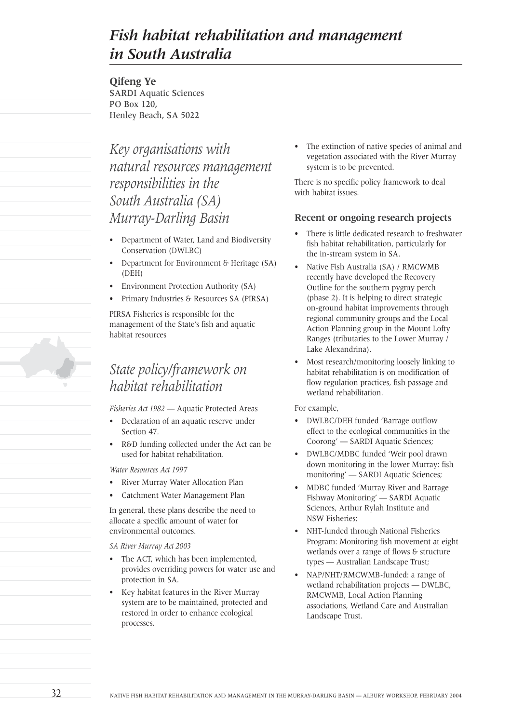# *Fish habitat rehabilitation and management in South Australia*

**Qifeng Ye** SARDI Aquatic Sciences PO Box 120, Henley Beach, SA 5022

*Key organisations with natural resources management responsibilities in the South Australia (SA) Murray-Darling Basin*

- Department of Water, Land and Biodiversity Conservation (DWLBC)
- Department for Environment & Heritage (SA) (DEH)
- Environment Protection Authority (SA)
- Primary Industries & Resources SA (PIRSA)

PIRSA Fisheries is responsible for the management of the State's fish and aquatic habitat resources

## *State policy/framework on habitat rehabilitation*

*Fisheries Act 1982* — Aquatic Protected Areas

- Declaration of an aquatic reserve under Section 47.
- R&D funding collected under the Act can be used for habitat rehabilitation.

*Water Resources Act 1997*

- River Murray Water Allocation Plan
- Catchment Water Management Plan

In general, these plans describe the need to allocate a specific amount of water for environmental outcomes.

- *SA River Murray Act 2003*
- The ACT, which has been implemented, provides overriding powers for water use and protection in SA.
- Key habitat features in the River Murray system are to be maintained, protected and restored in order to enhance ecological processes.

• The extinction of native species of animal and vegetation associated with the River Murray system is to be prevented.

There is no specific policy framework to deal with habitat issues.

### **Recent or ongoing research projects**

- There is little dedicated research to freshwater fish habitat rehabilitation, particularly for the in-stream system in SA.
- Native Fish Australia (SA) / RMCWMB recently have developed the Recovery Outline for the southern pygmy perch (phase 2). It is helping to direct strategic on-ground habitat improvements through regional community groups and the Local Action Planning group in the Mount Lofty Ranges (tributaries to the Lower Murray / Lake Alexandrina).
- Most research/monitoring loosely linking to habitat rehabilitation is on modification of flow regulation practices, fish passage and wetland rehabilitation.

For example,

- DWLBC/DEH funded 'Barrage outflow effect to the ecological communities in the Coorong' — SARDI Aquatic Sciences;
- DWLBC/MDBC funded 'Weir pool drawn down monitoring in the lower Murray: fish monitoring' — SARDI Aquatic Sciences;
- MDBC funded 'Murray River and Barrage Fishway Monitoring' — SARDI Aquatic Sciences, Arthur Rylah Institute and NSW Fisheries;
- NHT-funded through National Fisheries Program: Monitoring fish movement at eight wetlands over a range of flows & structure types — Australian Landscape Trust;
- NAP/NHT/RMCWMB-funded: a range of wetland rehabilitation projects — DWLBC, RMCWMB, Local Action Planning associations, Wetland Care and Australian Landscape Trust.